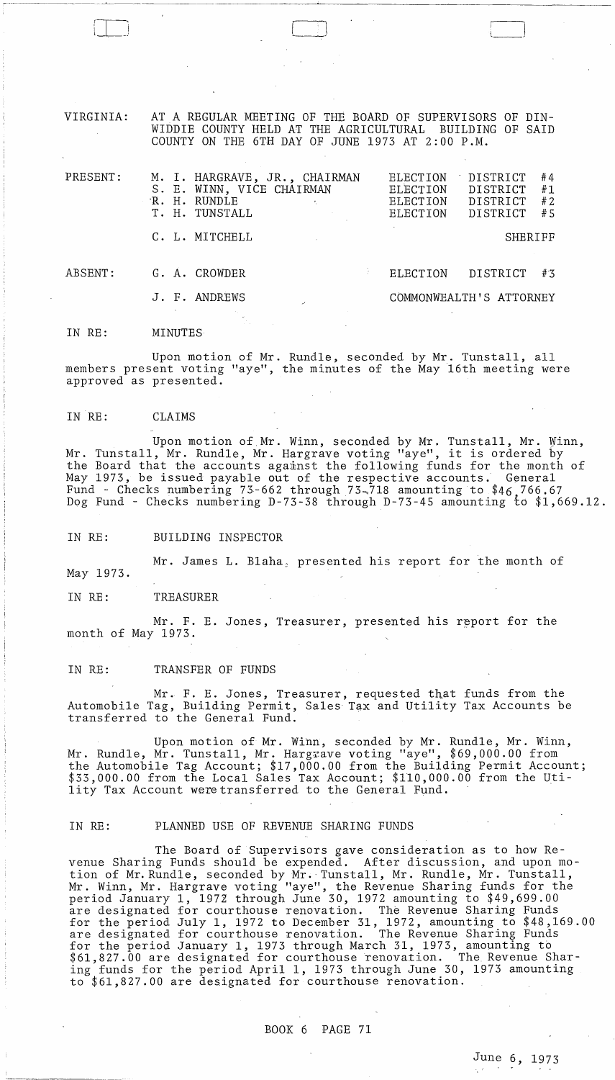VIRGINIA: AT A REGULAR MEETING OF THE BOARD OF SUPERVISORS OF DIN-WIDDIE COUNTY HELD AT THE AGRICULTURAL BUILDING OF SAID COUNTY ON THE 6TH DAY OF JUNE 1973 AT 2:00 P.M.

 $\begin{pmatrix} 1 & 1 \\ 1 & 1 \end{pmatrix}$ 

| PRESENT: |  | M. I. HARGRAVE, JR., CHAIRMAN<br>S. E. WINN, VICE CHAIRMAN<br>R. H. RUNDLE<br>T. H. TUNSTALL | <b>ELECTION</b><br>ELECTION<br><b>ELECTION</b><br><b>ELECTION</b> | DISTRICT<br>DISTRICT<br><b>DISTRICT</b><br>DISTRICT | #4<br>#1<br>#2<br>#5 |
|----------|--|----------------------------------------------------------------------------------------------|-------------------------------------------------------------------|-----------------------------------------------------|----------------------|
|          |  | C. L. MITCHELL                                                                               |                                                                   | SHERIFF                                             |                      |
| ABSENT:  |  | G. A. CROWDER                                                                                | <b>ELECTION</b>                                                   | DISTRICT                                            | #3                   |
|          |  | J. F. ANDREWS                                                                                |                                                                   | COMMONWEALTH'S ATTORNEY                             |                      |

IN RE: **MINUTES** 

Upon motion of Mr. Rundle, seconded by Mr. Tunstall, all members present voting "aye", the minutes of the May 16th meeting were approved as presented.

IN RE: CLAIMS

Upon motion of Mr. Winn, seconded by Mr. Tunstall, Mr. Winn, Mr. Tunstall, Mr. Rundle, Mr. Hargrave voting "aye", it is ordered by the Board that the accounts against the following funds for the month of May 1973, be issued payable out of the respective accounts. General Fund - Checks numbering 73-662 through 73-718 amounting to \$46,766.67 Dog Fund - Checks numbering D-73-38 through D-73-45 amounting *tb \$1,669.12.* 

IN RE: BUILDING INSPECTOR

Mr. James L. Blaha, presented his report for the month of

IN RE: TREASURER

May 1973.

Mr. F. E. Jones, Treasurer, presented his report for the month of May 1973.

### IN RE: TRANSFER OF FUNDS

Mr. F. E. Jones, Treasurer, requested that funds from the Automobile Tag, Building Permit, Sales Tax and Utility Tax Accounts be transferred to the General Fund.

Upon motion of Mr. Winn, seconded by Mr. Rundle, Mr. Winn, Mr. Rundle, Mr. Tunstall, Mr. Hargrave voting "aye", \$69,000.00 from the Automobile Tag Account; \$17,000.00 from the Building Permit Account; \$33,000.00 from the Local Sales Tax AGcount; \$110,000.00 from the Utility Tax Account were transferred to the General Fund.

### IN RE: PLANNED USE OF REVENUE SHARING FUNDS

The Board of Supervisors gave consideration as to how Revenue Sharing Funds should be expended. After discussion, and upon motion of Mr. Rundle, seconded by Mr.' Tunstall, Mr. Rundle, Mr. Tunstall, Mr. Winn, Mr. Hargrave voting "aye", the Revenue Sharing funds for the period January 1, 1972 through June 30, 1972 amounting to \$49,699.00 are designated for courthouse renovation. The Revenue Sharing Funds for the period July 1, 1972 to December 31, 1972, amounting to \$48,169.00 are designated for courthouse renovation. The Revenue Sharing Funds for the period January 1, 1973 through March 31, 1973, amounting to \$61,827.00 are designated for courthouse renovation. The Revenue Sharing funds for the period April 1, 1973 through June 30, 1973 amounting to \$61,827.00 are designated for courthouse renovation.

BOOK 6 PAGE 71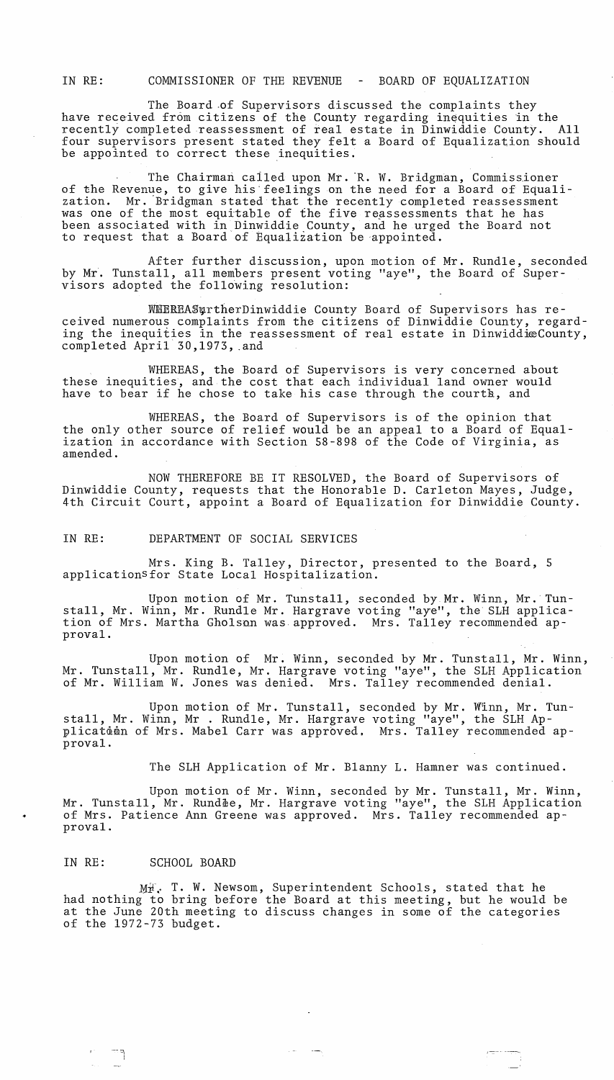IN RE: COMMISSIONER OF THE REVENUE - BOARD OF EQUALIZATION

The Board of Supervisors discussed the complaints they have received from citizens of the County regarding inequities in the recently completed reassessment of real estate in Dinwiddie County. All recently completed reassessment of real estate in Dinwiddie County. four supervisors present stated they felt a Board of Equalization should be appointed to correct these inequities.

The Chairman called upon Mr. R. W. Bridgman, Commissioner of the Revenue, to give his feelings on the need for a Board of Equali-<br>zation. Mr. Bridgman stated that the recently completed reassessment Mr. Bridgman stated that the recently completed reassessment was one of the most equitable of the five reassessments that he has been associated with in Dinwiddie County, and he urged the Board not to request that a Board of Equalization be appointed.

After further discussion, upon motion of Mr. Rundle, seconded by Mr. Tunstall, all members present voting "aye", the Board of Supervisors adopted the following resolution:

WHEREASurtherDinwiddie County Board of Supervisors has received numerous complaints from the citizens of Dinwiddie County, regarding the inequities in the reassessment of real estate in DinwiddieCounty, completed April 30,1973, .and

WHEREAS, the Board of Supervisors is very concerned about these inequities, and the cost that each individual land owner would have to bear if he chose to take his case through the courth, and

WHEREAS, the Board of Supervisors is of the opinion that the only other source of relief would be an appeal to a Board of Equalization in accordance with Section 58-898 of the Code of Virginia, as amended.

NOW THEREFORE BE IT RESOLVED, the Board of Supervisors of Dinwiddie County, requests that the Honorable D. Carleton Mayes, Judge, 4th Circuit Court, appoint a Board of Equalization for Dinwiddie County.

IN RE: DEPARTMENT OF SOCIAL SERVICES

Mrs. King B. Talley, Director, presented to the Board, 5 applications for State Local Hospitalization.

Upon motion of Mr. Tunstall, seconded by Mr. Winn, Mr. Tunstall, Mr. Winn, Mr. Rundle Mr. Hargrave voting "aye", the SLH application of Mrs. Martha Gholson was approved. Mrs. Talley recommended approval.

Upon motion of Mr. Winn, seconded by Mr. Tunstall, Mr. Winn, Mr. Tunstall, Mr. Rundle, Mr. Hargrave voting "aye", the SLH Application of Mr. William W. Jones was denied. Mrs. Talley recommended denial.

Upon motion of Mr. Tunstall, seconded by Mr. Winn, Mr. Tunstall, Mr. Winn, Mr . Rundle, Mr. Hargrave voting "aye", the SLH Applicataon of Mrs. Mabel Carr was approved. Mrs. Talley recommended approval.

The SLH Application of Mr. Blanny L. Hamner was continued.

Upon motion of Mr. Winn, seconded by Mr. Tunstall, Mr. Winn, Mr. Tunstall, Mr. Rundle, Mr. Hargrave voting "aye", the SLH Application • of Mrs. Patience Ann Greene was approved. Mrs. Talley recommended approval.

### IN RE: SCHOOL BOARD

 $\pm$ I

 $M_{\mathbb{H}}^{\mathbb{F}}$ . T. W. Newsom, Superintendent Schools, stated that he had nothing to bring before the Board at this meeting, but he would to bring before the Board at this meeting, but he would be at the June 20th meeting to discuss changes in some of the categories of the 1972-73 budget.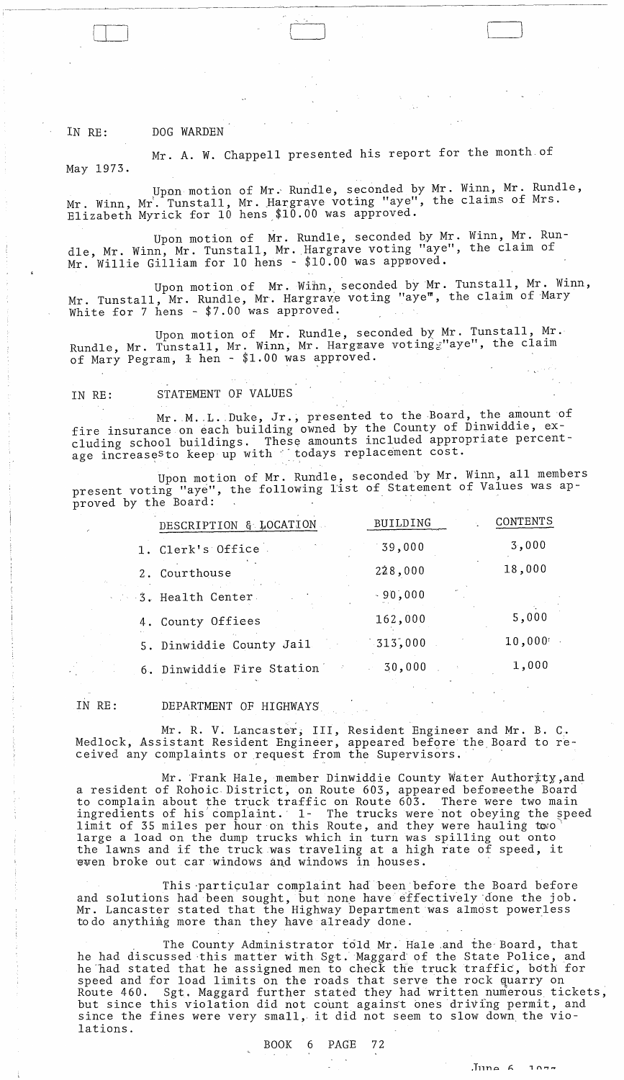## IN RE: DOG WARDEN

-~-~---.--~--~----"--------- ------

LLJ

Mr. A. W. Chappell presented his report for the month of May 1973.

Upon motion of Mr. Rundle, seconded by Mr. Winn, Mr. Rundle, Mr. Winn, Mr. Tunstall, Mr. Hargrave voting "aye", the claims of Mrs. Elizabeth Myrick for  $10$  hens  $$10.00$  was approved.

Upon motion of Mr. Rundle, seconded by Mr. Winn, Mr. Rundle, Mr. Winn, Mr. Tunstall, Mr. Hargrave voting "aye", the claim of Mr. Willie Gilliam for 10 hens - \$10.00 was approved.

Upon motion of Mr. Winn, seconded by Mr. Tunstall, Mr. Winn, Mr. Tunstall, Mr. Rundle, Mr. Hargrave voting "aye", the claim of Mary White for 7 hens - \$7.00 was approved.

Upon motion of Mr. Rundle, seconded by Mr. Tunstall, Mr. Rundle, Mr. Tunstall, Mr. Winn, Mr. Hargrave voting waye", the claim of Mary Pegram, 1 hen - \$1.00 was approved.

## IN RE: STATEMENT OF VALUES

Mr. M. L. Duke, Jr., presented to the Board, the amount of fire insurance on each building owned by the County of Dinwiddie, excluding school buildings. These amounts included appropriate percentage increases to keep up with " todays replacement cost.

Upon motion of Mr. Rundle, seconded 'by Mr. Winn, all members present voting "aye", the following list of Statement of Values was approved by the Board:

| DESCRIPTION & LOCATION    | BUILDING  | CONTENTS |
|---------------------------|-----------|----------|
| 1. Clerk's Office         | 39,000    | 3,000    |
| 2. Courthouse             | 228,000   | 18,000   |
| 3. Health Center          | $-90,000$ |          |
| 4. County Offices         | 162,000   | 5,000    |
| 5. Dinwiddie County Jail  | 313,000   | 10,000   |
| 6. Dinwiddie Fire Station | 30,000    | 1,000    |

IN RE: DEPARTMENT OF HIGHWAYS

Mr. R. V. Lancaster, III, Resident Engineer and Mr. B. C. Medlock, Assistant Resident Engineer, appeared before the Board to received any complaints or request from the Supervisors.

Mr. Frank Hale, member Dinwiddie County Water Authority, and a resident of Rohoic District, on Route 603, appeared beforeethe Board to complain about the truck traffic on Route 603. There were two main ingredients of his complaint. 1- The trucks were not obeying the speed limit of 35 miles per hour on this Route, and they were hauling towo large a load on the dump trucks which in turn was spilling out onto targe a foad on the dump trucks which in turn was spilling out onto<br>the lawns and if the truck was traveling at a high rate of speed, it ewen broke out car windows and windows in houses.

This particular complaint had been before the Board before and solutions had been sought, but none have'effectively'done the job. Mr. Lancaster stated that the Highway Department was almost powerless to do anything more than they have already done.

The County Administrator told Mr. Hale and the Board, that he had discussed this matter with Sgt. Maggard of the State Police, and he had stated that he assigned men to check the truck traffic, both for speed and for load limits on the roads that serve the rock quarry on Route 460. Sgt. Maggard further stated they had written numerous tickets, but since this violation did not count against ones driving permit, and but since this violation did not count against ones driving permit, an<br>since the fines were very small, it did not seem to slow down the violations.

BOOK 6 PAGE 72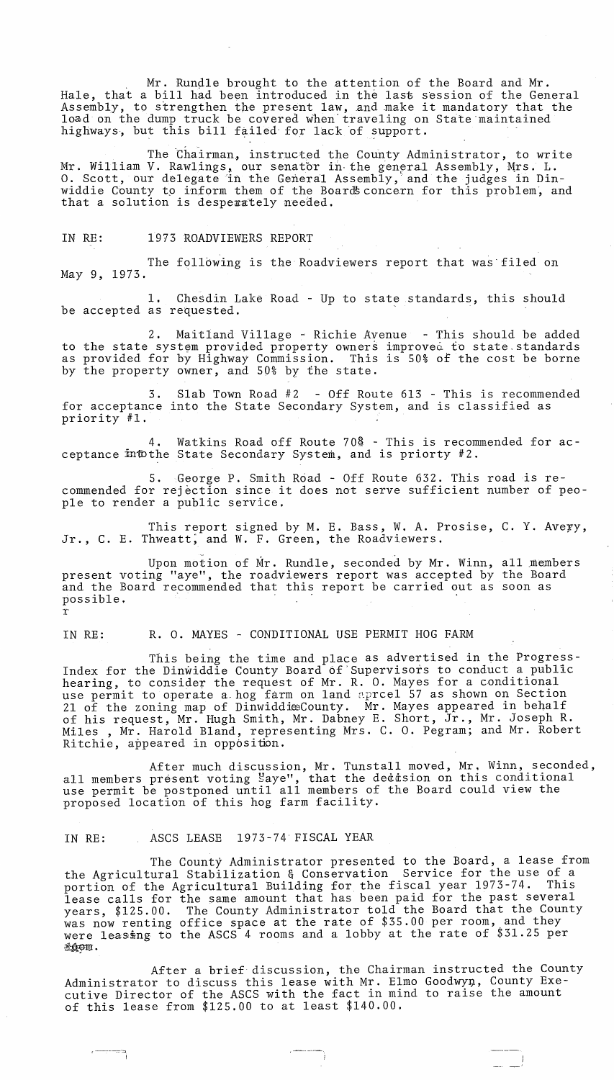Mr. Rundle brought to the attention of the Board and Mr. Hale, that a bill had been introduced in the last session of the General have, that a bill had been introduced in the last session of the deneral.<br>Assembly, to strengthen the present law, and make it mandatory that the load on the dump truck be covered when traveling on State maintained highways, but this bill failed for lack of support.

The Chairman, instructed the County Administrator, to write Mr. William V. Rawlings, our senator in the general Assembly, Mrs. L. O. Scott, our delegate in the General Assembly, and the judges in Dinwiddie County to inform them of the Boards concern for this problem, and that a solution is desperately needed.

IN RE: 1973 ROADVIEWERS REPORT

The following is the Roadviewers report that was' filed on May 9, 1973. that a solution is desperately needed.<br>
IN RE: 1973 ROADVIEWERS REPORT<br>
The following is the Roadviewers report that was fil<br>
May 9, 1973.<br>
1. Chesdin Lake Road - Up to state standards, this<br>
be accepted as requested.<br>
2.

1. Chesdin Lake Road - Up to state standards, this should be accepted as requested.

2. Maitland Village - Richie Avenue - This should be added to the state system provided property owners improved to state standards as provided for by Highway Commission. This is 50% of the cost be borne by the property owner, and 50% by the state.

3. Slab Town Road #2 - Off Route 613 - This is recommended for acceptance into the State Secondary System, and is classified as priority #1.

4. Watkins Road off Route 70<sup>8</sup> - This is recommended for acceptance intothe State Secondary System, and is priorty #2.

5. George P. Smith Road - Off Route 632. This road is recommended for rejection since it does not serve sufficient number of people to render a public service.

This report signed by M. E. Bass, W. A. Prosise, C. Y. Avery, Jr., C. E. Thweatt, and W. F. Green, the Roadviewers.

Upon motion of Mr. Rundle, seconded by Mr. Winn, all members present voting "aye", the roadviewers report was accepted by the Board and the Board recommended that this report be carried out as soon as possible. . r

IN RE: R. O. MAYES - CONDITIONAL USE PERMIT HOG FARM

This being the time and place as advertised in the Progress-Index for the Dinwiddie County Board of'Supervisors to conduct a public hearing, to consider the request of Mr. R. O. Mayes for a conditional use permit to operate a hog farm on land apreel 57 as shown on Section 21 of the zoning map of DinwiddieCounty. Mr. Mayes appeared in behalf of his request, Mr. Hugh Smith, Mr. Dabney E. Short, Jr., Mr. Joseph R. Miles, Mr. Harold Bland, representing Mrs. C. O. Pegram; and Mr. Robert Ritchie, appeared in opposition.

After much discussion, Mr. Tunstall moved, Mr. Winn, seconded, all members present voting "aye", that the decision on this conditional use permit be postponed until all members of the Board could view the proposed location of this hog farm facility.

IN RE: ASCS LEASE 1973-74 FISCAL YEAR

c----:::-~

The County Administrator presented to the Board, a lease from the Agricultural Stabilization & Conservation Service for the use of a portion of the Agricultural Building for the fiscal year 1973-74. This lease calls for the same amount that has been paid for the past several years, \$125.00. The County Administrator told the Board that the County was now renting office space at the rate of \$35.00 per room, and they were leasing to the ASCS 4 rooms and a lobby at the rate of \$31.25 per  $x$  on .

After a brief discussion, the Chairman instructed the County Administrator to discuss this lease with Mr. Elmo Goodwyn, County Executive Director of the ASCS with the fact in mind to raise the amount of this lease from \$125.00 to at least \$140.00.

 $\frac{1}{2}$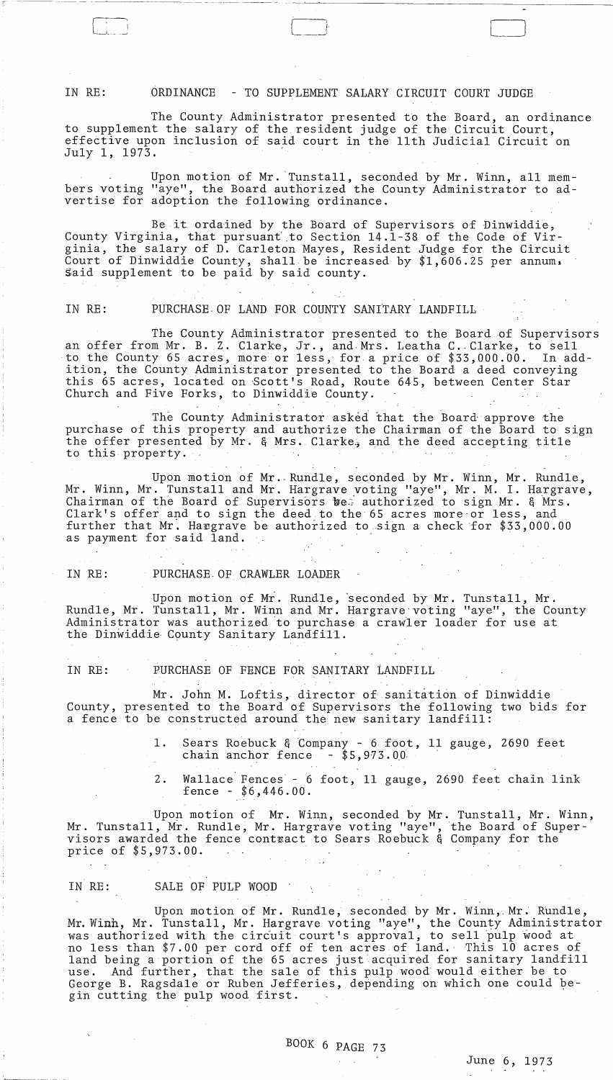## IN RE: ORDINANCE -TO SUPPLEMENT SALARY CIRCUIT COURT JUDGE

The County Administrator presented to the Board, an ordinance to supplement the salary of the resident judge of the Circuit Court, effective upon inclusion of said court in the 11th Judicial Circuit on July 1, 1973. .

Upon motion of Mr. Tunstall, seconded by Mr. Winn, all members voting "aye", the Board authorized the County Administrator to advertise for adoption the following ordinance.

Be it ordained by the Board of Supervisors of Dinwiddie, County Virginia, that pursuant to Section 14.1-38 of the Code of Virginia, the salary of D. Carleton Mayes, Resident Judge for the Circuit Court of Dinwiddie County, shall be increased by \$1,606.25 per annum, Said supplement to be paid by said county.

IN RE: PURCHASE OF LAND FOR COUNTY SANITARY LANDFILL

The County Administrator presented to the Board of Supervisors an offer from Mr. B. Z. Clarke, Jr., and Mrs. Leatha C. Clarke, to sell<br>to the County 65 acres, more or less, for a price of \$33,000.00. In addto the County 65 acres, more or less, for a price of \$33,000.00. ition, the County Administrator presented to the Board a deed conveying this 65 acres, located on Scott's Road, Route 645, between Center Star Church and Five Forks, to Dinwiddie County. .

The County Administrator asked that the Board approve the purchase of this property and authorize the Chairman of the Board to sign the offer presented by Mr. & Mrs. Clarke, and the deed accepting title to this property.

Upon motion of Mr .. Rundle, seconded by Mr. Winn, Mr. Rundle, Mr. Winn, Mr. Tunstall and Mr. Hargrave voting "aye", Mr. M. I. Hargrave, Chairman of the Board of Supervisors bee authorized to sign Mr. & Mrs. Clark's offer and to sign the deed to the 65 acres more or less, and further that Mr. Hargrave be authorized to sign a check for  $$33,000.00$ as payment for said land.

### IN RE: PURCHASE, OF CRAWLER LOADER

Upon motion of My. Rundle, 'seconded by Mr. Tunstall, Mr. Rundle, Mr. Tunstall, Mr. Winn and Mr. Hargrave voting "aye", the County Administrator was authorized to purchase a crawler loader for use at the Dinwiddie County Sanitary Landfill.

# IN RE: PURCHASE OF FENCE FOR SANITARY LANDFILL

Mr. John M. Loftis, director of sanitation of Dinwiddie County, presented to the Board of Supervisors the following two bids for a fence to be constructed around the new sanitary landfill:

- 1. Sears Roebuck & Company 6 foot, 11 gauge, 2690 feet<br>chain anchor fence \$5,973.00 chain anchor fence
- 2. Wallace Fences 6 foot, 11 gauge, 2690 feet chain link fence - \$6,446.00.

Upon motion of Mr. Winn, seconded by Mr. Tunstall, Mr. Winn, Mr. Tunstall, Mr. Rundle, Mr. Hargrave voting "aye", the Board of Supervisors awarded the fence contract to Sears Roebuck & Company for the price of \$5,973.00.

## IN RE: SALE OF PULP WOOD

 $\mathcal{L}^{\text{max}}_{\text{max}}$ 

Upon motion of Mr. Rundle, seconded by Mr. Winn,.Mr. Rundle, Mr. Winh, Mr. Tunstall, Mr. Hargrave voting "aye", the County Administrator was authorized with the circuit court's approval, to sell pulp wood at no less than \$7.00 per cord off of ten acres of land. This 10 acres of land being a portion of the 65 acres just acquired for sanitary landfill use. And further, that the sale of this pulp wood would either be to George B. Ragsdale or Ruben Jefferies, depending on which one could begin cutting the pulp wood first.

 $\Delta \sim 10^{11}$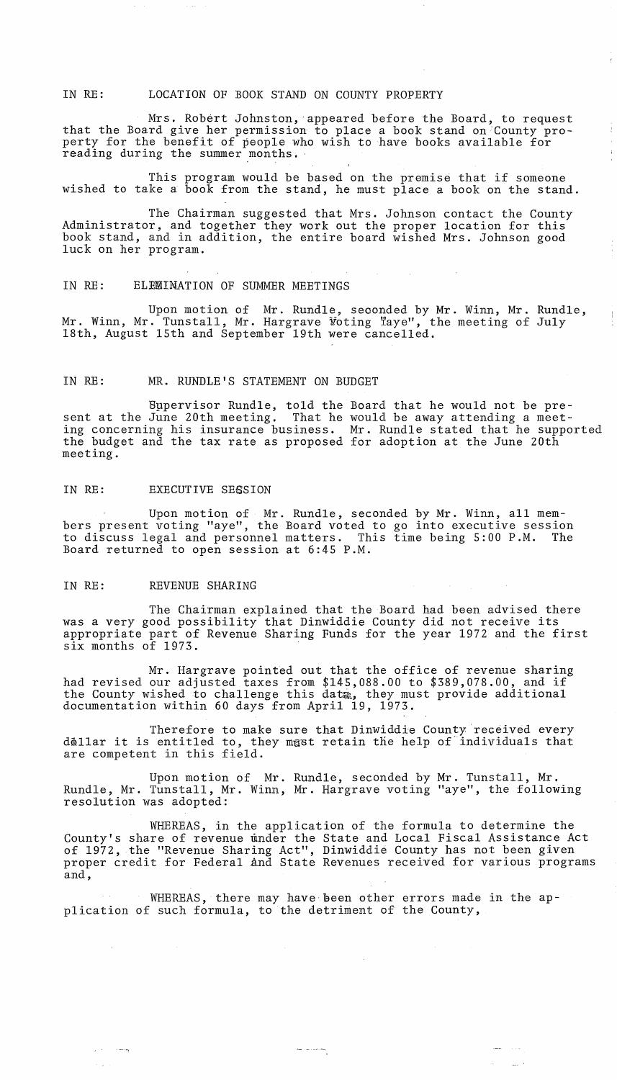### IN RE: LOCATION OF BOOK STAND ON COUNTY PROPERTY

Mrs. Robert Johnston, 'appeared before the Board, to request that the Board give her permission to place a book stand on 'County property for the benefit of people who wish to have books available for reading during the summer months.

This program would be based on the premise that if someone wished to take a book from the stand, he must place a book on the stand.

The Chairman suggested that Mrs. Johnson contact the County Administrator, and together they work out the proper location for this book stand, and in addition, the entire board wished Mrs. Johnson good luck on her program.

### IN RE: ELEMINATION OF SUMMER MEETINGS

Upon motion of Mr. Rundle, seoonded by Mr. Winn, Mr. Rundle, Mr. Winn, Mr. Tunstall, Mr. Hargrave Voting Taye", the meeting of July 18th, August 15th and September 19th were cancelled.

### IN RE: MR. RUNDLE'S STATEMENT ON BUDGET

Bppervisor Rundle, told the Board that he would not be present at the June 20th meeting. That he would be away attending a meeting concerning his insurance business. Mr. Rundle stated that he supported the budget and the tax rate as proposed for adoption at the June 20th meeting.

### IN RE: EXECUTIVE SESSION

Upon motion of Mr. Rundle, seconded by Mr. Winn, all members present voting "aye", the Board voted to go into executive session<br>to discuss legal and personnel matters. This time being 5:00 P.M. The to discuss legal and personnel matters. This time being 5:00 P.M. Board returned to open session at 6:45 P.M.

### IN RE: REVENUE SHARING

 $\mu$  ,  $\tau$  ,  $\tau$  , and  $\tau_{\rm{H}}$ 

The Chairman explained that the Board had been advised there was a very good possibility that Dinwiddie County did not receive its appropriate part of Revenue Sharing Funds for the year 1972 and the first six months of 1973.

Mr. Hargrave pointed out that the office of revenue sharing had revised our adjusted taxes from \$145,088.00 to \$389,078.00, and if the County wished to challenge this data, they must provide additional documentation within 60 days from April 19, 1973.

Therefore to make sure that Dinwiddie County received every dollar it is entitled to, they mast retain the help of individuals that are competent in this field.

Upon motion of Mr. Rundle, seconded by Mr. Tunstall, Mr. Rundle, Mr. Tunstall, Mr. Winn, Mr. Hargrave voting "aye", the following resolution was adopted:

WHEREAS, in the application of the formula to determine the County's share of revenue under the State and Local Fiscal Assistance Act of 1972, the "Revenue Sharing Act", Dinwiddie County has not been given proper credit for Federal and State Revenues received for various programs and,

 $\mathcal{L}^{\text{max}}_{\text{max}}$  and  $\mathcal{L}^{\text{max}}_{\text{max}}$ 

WHEREAS, there may have been other errors made in the application of such formula, to the detriment of the County,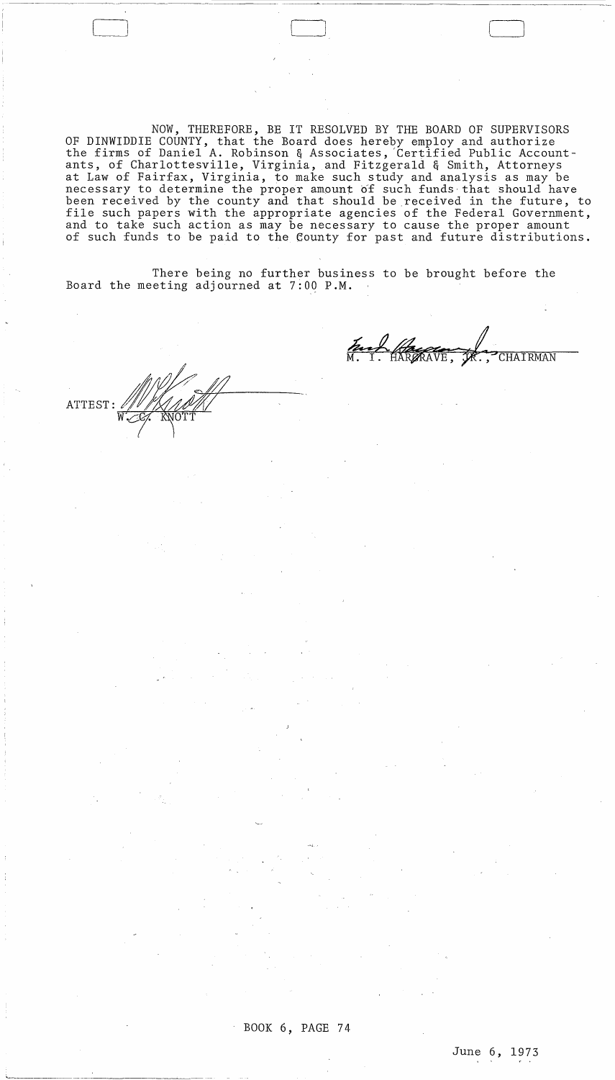NOW, THEREFORE, BE IT RESOLVED BY THE BOARD OF SUPERVISORS OF DINWIDDIE COUNTY, that the Board does hereby employ and authorize the firms of Daniel A. Robinson & Associates, 'Certified Public Accountants, of Charlottesville, Virginia, and Fitzgerald & Smith, Attorneys at Law of Fairfax, Virginia, to make such study and analysis as may be necessary to determine the proper amount of such funds that should have been received by the county and that should be received in the future, to file such papers with the appropriate agencies of the Federal Government, and to take such action as may be necessary to cause the proper amount of such funds to be paid to the County for past and future distributions.

There being no further business to be brought before the Board the meeting adjourned at 7:00 P.M.

ATTEST:

---~~~ ~~---~~--~~-

Fact Regard **CHAIRMAN** 

BOOK 6, PAGE 74